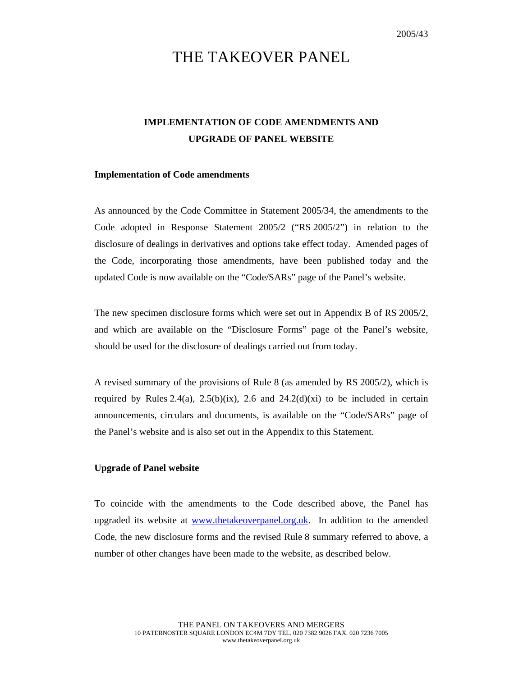# THE TAKEOVER PANEL

## **IMPLEMENTATION OF CODE AMENDMENTS AND UPGRADE OF PANEL WEBSITE**

#### **Implementation of Code amendments**

As announced by the Code Committee in Statement 2005/34, the amendments to the Code adopted in Response Statement 2005/2 ("RS 2005/2") in relation to the disclosure of dealings in derivatives and options take effect today. Amended pages of the Code, incorporating those amendments, have been published today and the updated Code is now available on the "Code/SARs" page of the Panel's website.

The new specimen disclosure forms which were set out in Appendix B of RS 2005/2, and which are available on the "Disclosure Forms" page of the Panel's website, should be used for the disclosure of dealings carried out from today.

A revised summary of the provisions of Rule 8 (as amended by RS 2005/2), which is required by Rules 2.4(a), 2.5(b)(ix), 2.6 and 24.2(d)(xi) to be included in certain announcements, circulars and documents, is available on the "Code/SARs" page of the Panel's website and is also set out in the Appendix to this Statement.

#### **Upgrade of Panel website**

To coincide with the amendments to the Code described above, the Panel has upgraded its website at www.thetakeoverpanel.org.uk. In addition to the amended Code, the new disclosure forms and the revised Rule 8 summary referred to above, a number of other changes have been made to the website, as described below.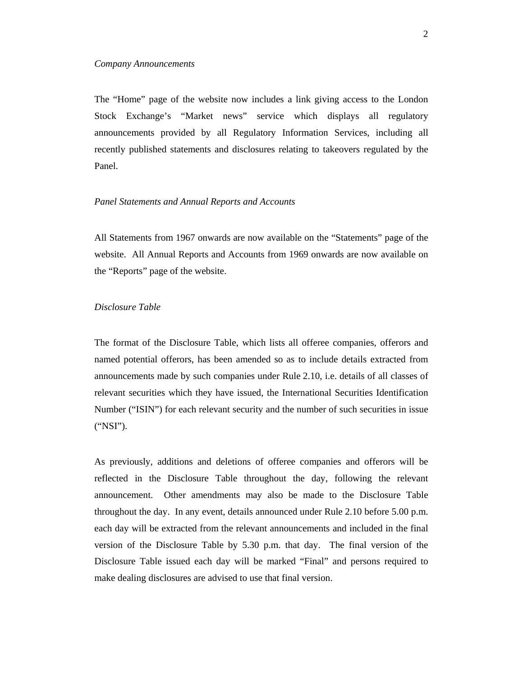The "Home" page of the website now includes a link giving access to the London Stock Exchange's "Market news" service which displays all regulatory announcements provided by all Regulatory Information Services, including all recently published statements and disclosures relating to takeovers regulated by the Panel.

#### *Panel Statements and Annual Reports and Accounts*

All Statements from 1967 onwards are now available on the "Statements" page of the website. All Annual Reports and Accounts from 1969 onwards are now available on the "Reports" page of the website.

#### *Disclosure Table*

The format of the Disclosure Table, which lists all offeree companies, offerors and named potential offerors, has been amended so as to include details extracted from announcements made by such companies under Rule 2.10, i.e. details of all classes of relevant securities which they have issued, the International Securities Identification Number ("ISIN") for each relevant security and the number of such securities in issue ("NSI").

As previously, additions and deletions of offeree companies and offerors will be reflected in the Disclosure Table throughout the day, following the relevant announcement. Other amendments may also be made to the Disclosure Table throughout the day. In any event, details announced under Rule 2.10 before 5.00 p.m. each day will be extracted from the relevant announcements and included in the final version of the Disclosure Table by 5.30 p.m. that day. The final version of the Disclosure Table issued each day will be marked "Final" and persons required to make dealing disclosures are advised to use that final version.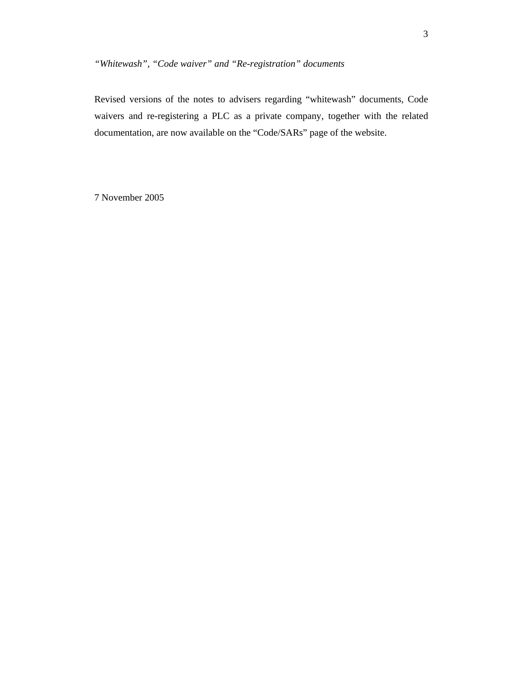### *"Whitewash", "Code waiver" and "Re-registration" documents*

Revised versions of the notes to advisers regarding "whitewash" documents, Code waivers and re-registering a PLC as a private company, together with the related documentation, are now available on the "Code/SARs" page of the website.

7 November 2005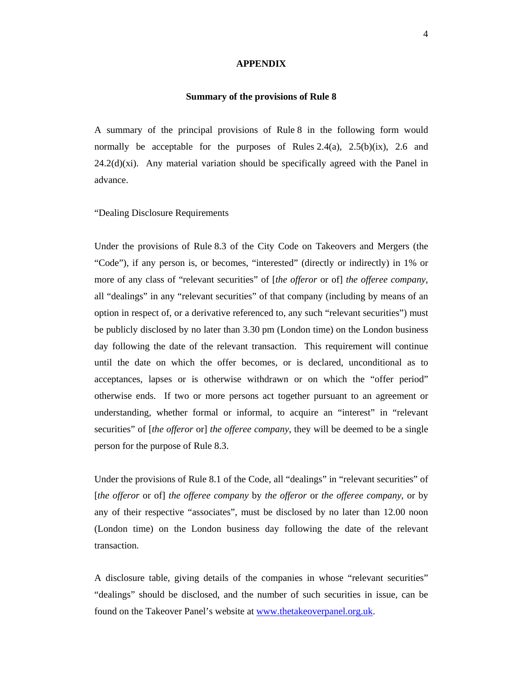#### **APPENDIX**

#### **Summary of the provisions of Rule 8**

A summary of the principal provisions of Rule 8 in the following form would normally be acceptable for the purposes of Rules  $2.4(a)$ ,  $2.5(b)(ix)$ ,  $2.6$  and  $24.2(d)(xi)$ . Any material variation should be specifically agreed with the Panel in advance.

#### "Dealing Disclosure Requirements

Under the provisions of Rule 8.3 of the City Code on Takeovers and Mergers (the "Code"), if any person is, or becomes, "interested" (directly or indirectly) in 1% or more of any class of "relevant securities" of [*the offeror* or of] *the offeree company*, all "dealings" in any "relevant securities" of that company (including by means of an option in respect of, or a derivative referenced to, any such "relevant securities") must be publicly disclosed by no later than 3.30 pm (London time) on the London business day following the date of the relevant transaction. This requirement will continue until the date on which the offer becomes, or is declared, unconditional as to acceptances, lapses or is otherwise withdrawn or on which the "offer period" otherwise ends. If two or more persons act together pursuant to an agreement or understanding, whether formal or informal, to acquire an "interest" in "relevant securities" of [*the offeror* or] *the offeree company*, they will be deemed to be a single person for the purpose of Rule 8.3.

Under the provisions of Rule 8.1 of the Code, all "dealings" in "relevant securities" of [*the offeror* or of] *the offeree company* by *the offeror* or *the offeree company*, or by any of their respective "associates", must be disclosed by no later than 12.00 noon (London time) on the London business day following the date of the relevant transaction.

A disclosure table, giving details of the companies in whose "relevant securities" "dealings" should be disclosed, and the number of such securities in issue, can be found on the Takeover Panel's website at www.thetakeoverpanel.org.uk.